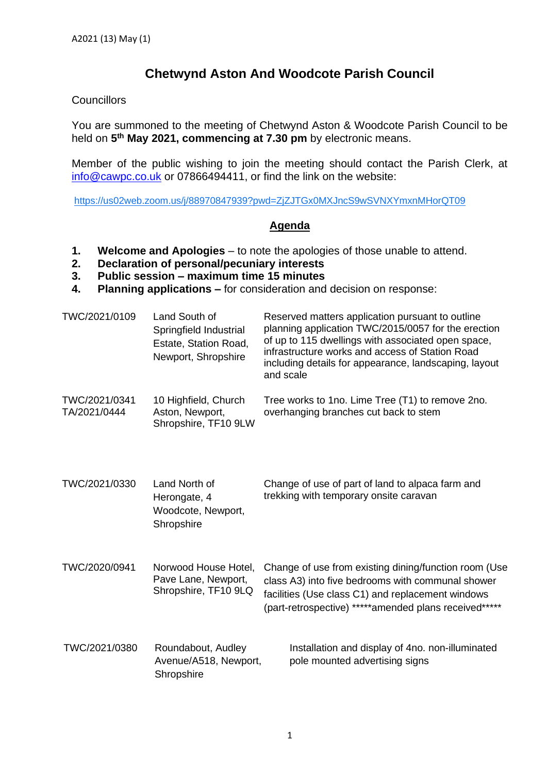## **Chetwynd Aston And Woodcote Parish Council**

## **Councillors**

You are summoned to the meeting of Chetwynd Aston & Woodcote Parish Council to be held on **5 th May 2021, commencing at 7.30 pm** by electronic means.

Member of the public wishing to join the meeting should contact the Parish Clerk, at [info@cawpc.co.uk](mailto:info@cawpc.co.uk) or 07866494411, or find the link on the website:

<https://us02web.zoom.us/j/88970847939?pwd=ZjZJTGx0MXJncS9wSVNXYmxnMHorQT09>

## **Agenda**

- **1. Welcome and Apologies** to note the apologies of those unable to attend.
- **2. Declaration of personal/pecuniary interests**
- **3. Public session – maximum time 15 minutes**
- **4. Planning applications –** for consideration and decision on response:

| TWC/2021/0109                 | Land South of<br>Springfield Industrial<br>Estate, Station Road,<br>Newport, Shropshire | Reserved matters application pursuant to outline<br>planning application TWC/2015/0057 for the erection<br>of up to 115 dwellings with associated open space,<br>infrastructure works and access of Station Road<br>including details for appearance, landscaping, layout<br>and scale |
|-------------------------------|-----------------------------------------------------------------------------------------|----------------------------------------------------------------------------------------------------------------------------------------------------------------------------------------------------------------------------------------------------------------------------------------|
| TWC/2021/0341<br>TA/2021/0444 | 10 Highfield, Church<br>Aston, Newport,<br>Shropshire, TF10 9LW                         | Tree works to 1no. Lime Tree (T1) to remove 2no.<br>overhanging branches cut back to stem                                                                                                                                                                                              |
| TWC/2021/0330                 | Land North of<br>Herongate, 4<br>Woodcote, Newport,<br>Shropshire                       | Change of use of part of land to alpaca farm and<br>trekking with temporary onsite caravan                                                                                                                                                                                             |
| TWC/2020/0941                 | Norwood House Hotel,<br>Pave Lane, Newport,<br>Shropshire, TF10 9LQ                     | Change of use from existing dining/function room (Use<br>class A3) into five bedrooms with communal shower<br>facilities (Use class C1) and replacement windows<br>(part-retrospective) *****amended plans received*****                                                               |
| TWC/2021/0380                 | Roundabout, Audley<br>Avenue/A518, Newport,<br>Shropshire                               | Installation and display of 4no. non-illuminated<br>pole mounted advertising signs                                                                                                                                                                                                     |